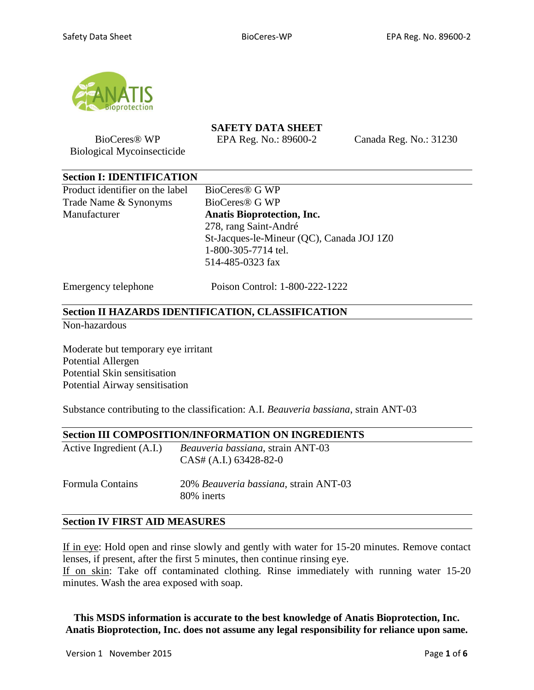

BioCeres® WP Biological Mycoinsecticide **SAFETY DATA SHEET**

EPA Reg. No.: 89600-2 Canada Reg. No.: 31230

#### **Section I: IDENTIFICATION**

Product identifier on the label BioCeres® G WP Trade Name & Synonyms BioCeres<sup>®</sup> G WP Manufacturer **Anatis Bioprotection, Inc.**

278, rang Saint-André St-Jacques-le-Mineur (QC), Canada JOJ 1Z0 1-800-305-7714 tel. 514-485-0323 fax

Emergency telephone Poison Control: 1-800-222-1222

#### **Section II HAZARDS IDENTIFICATION, CLASSIFICATION**

Non-hazardous

Moderate but temporary eye irritant Potential Allergen Potential Skin sensitisation Potential Airway sensitisation

Substance contributing to the classification: A.I. *Beauveria bassiana*, strain ANT-03

## **Section III COMPOSITION/INFORMATION ON INGREDIENTS**

| Active Ingredient (A.I.)        | <i>Beauveria bassiana</i> , strain ANT-03<br>$CAS# (A.I.) 63428-82-0$ |  |  |
|---------------------------------|-----------------------------------------------------------------------|--|--|
| $E_{\alpha\mu\nu}$ ule Contoine | $200\ell$ <i>Degreesing bassigns</i> strong $\Lambda$ NT 02           |  |  |

Formula Contains 20% *Beauveria bassiana*, strain ANT-03 80% inerts

#### **Section IV FIRST AID MEASURES**

If in eye: Hold open and rinse slowly and gently with water for 15-20 minutes. Remove contact lenses, if present, after the first 5 minutes, then continue rinsing eye. If on skin: Take off contaminated clothing. Rinse immediately with running water 15-20 minutes. Wash the area exposed with soap.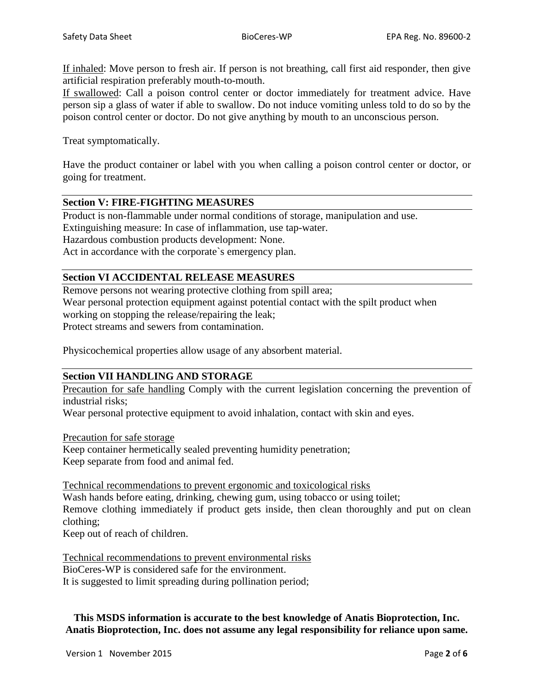If inhaled: Move person to fresh air. If person is not breathing, call first aid responder, then give artificial respiration preferably mouth-to-mouth.

If swallowed: Call a poison control center or doctor immediately for treatment advice. Have person sip a glass of water if able to swallow. Do not induce vomiting unless told to do so by the poison control center or doctor. Do not give anything by mouth to an unconscious person.

Treat symptomatically.

Have the product container or label with you when calling a poison control center or doctor, or going for treatment.

#### **Section V: FIRE-FIGHTING MEASURES**

Product is non-flammable under normal conditions of storage, manipulation and use. Extinguishing measure: In case of inflammation, use tap-water. Hazardous combustion products development: None. Act in accordance with the corporate`s emergency plan.

#### **Section VI ACCIDENTAL RELEASE MEASURES**

Remove persons not wearing protective clothing from spill area; Wear personal protection equipment against potential contact with the spilt product when working on stopping the release/repairing the leak; Protect streams and sewers from contamination.

Physicochemical properties allow usage of any absorbent material.

#### **Section VII HANDLING AND STORAGE**

Precaution for safe handling Comply with the current legislation concerning the prevention of industrial risks;

Wear personal protective equipment to avoid inhalation, contact with skin and eyes.

Precaution for safe storage

Keep container hermetically sealed preventing humidity penetration; Keep separate from food and animal fed.

Technical recommendations to prevent ergonomic and toxicological risks Wash hands before eating, drinking, chewing gum, using tobacco or using toilet; Remove clothing immediately if product gets inside, then clean thoroughly and put on clean clothing;

Keep out of reach of children.

Technical recommendations to prevent environmental risks BioCeres-WP is considered safe for the environment. It is suggested to limit spreading during pollination period;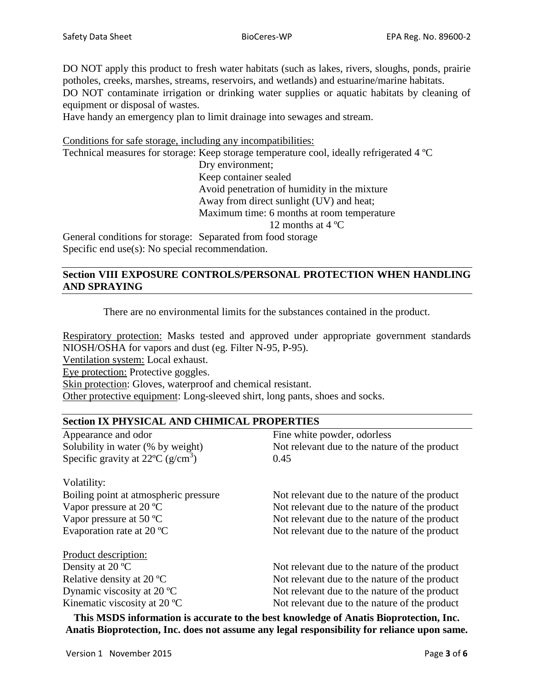DO NOT apply this product to fresh water habitats (such as lakes, rivers, sloughs, ponds, prairie potholes, creeks, marshes, streams, reservoirs, and wetlands) and estuarine/marine habitats.

DO NOT contaminate irrigation or drinking water supplies or aquatic habitats by cleaning of equipment or disposal of wastes.

Have handy an emergency plan to limit drainage into sewages and stream.

Conditions for safe storage, including any incompatibilities:

Technical measures for storage: Keep storage temperature cool, ideally refrigerated 4 ºC

Dry environment;

Keep container sealed

Avoid penetration of humidity in the mixture

Away from direct sunlight (UV) and heat;

Maximum time: 6 months at room temperature

12 months at 4 ºC

General conditions for storage: Separated from food storage Specific end use(s): No special recommendation.

### **Section VIII EXPOSURE CONTROLS/PERSONAL PROTECTION WHEN HANDLING AND SPRAYING**

There are no environmental limits for the substances contained in the product.

Respiratory protection: Masks tested and approved under appropriate government standards NIOSH/OSHA for vapors and dust (eg. Filter N-95, P-95).

Ventilation system: Local exhaust.

Eye protection: Protective goggles.

Skin protection: Gloves, waterproof and chemical resistant.

Other protective equipment: Long-sleeved shirt, long pants, shoes and socks.

# **Section IX PHYSICAL AND CHIMICAL PROPERTIES** Appearance and odor Fine white powder, odorless Solubility in water (% by weight) Not relevant due to the nature of the product Specific gravity at  $22^{\circ}C$  (g/cm<sup>3</sup>)  $0.45$ Volatility: Boiling point at atmospheric pressure Not relevant due to the nature of the product Vapor pressure at 20 °C Not relevant due to the nature of the product Vapor pressure at 50 °C Not relevant due to the nature of the product Evaporation rate at  $20^{\circ}$ C Not relevant due to the nature of the product Product description: Density at 20 °C Not relevant due to the nature of the product Relative density at 20 °C Not relevant due to the nature of the product Dynamic viscosity at  $20^{\circ}$ C Not relevant due to the nature of the product Kinematic viscosity at 20 °C Not relevant due to the nature of the product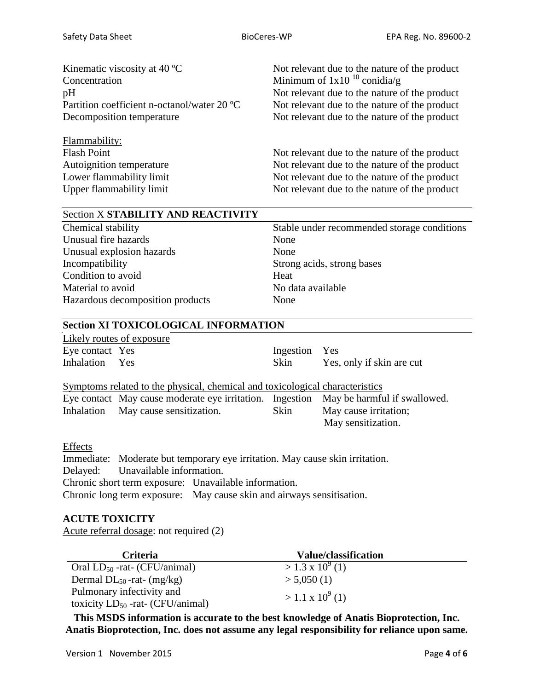| Kinematic viscosity at $40^{\circ}$ C                                                                                   | Not relevant due to the nature of the product                                                                                                                                                    |
|-------------------------------------------------------------------------------------------------------------------------|--------------------------------------------------------------------------------------------------------------------------------------------------------------------------------------------------|
| Concentration                                                                                                           | Minimum of $1x10^{10}$ conidia/g                                                                                                                                                                 |
| pH                                                                                                                      | Not relevant due to the nature of the product                                                                                                                                                    |
| Partition coefficient n-octanol/water 20 °C                                                                             | Not relevant due to the nature of the product                                                                                                                                                    |
| Decomposition temperature                                                                                               | Not relevant due to the nature of the product                                                                                                                                                    |
| Flammability:<br><b>Flash Point</b><br>Autoignition temperature<br>Lower flammability limit<br>Upper flammability limit | Not relevant due to the nature of the product<br>Not relevant due to the nature of the product<br>Not relevant due to the nature of the product<br>Not relevant due to the nature of the product |

#### Section X **STABILITY AND REACTIVITY**

Unusual fire hazards None Unusual explosion hazards None Incompatibility Strong acids, strong bases Condition to avoid Heat Material to avoid No data available Hazardous decomposition products None

Chemical stability Stable under recommended storage conditions

# **Section XI TOXICOLOGICAL INFORMATION**

|                 | Likely routes of exposure |               |                           |
|-----------------|---------------------------|---------------|---------------------------|
| Eye contact Yes |                           | Ingestion Yes |                           |
| Inhalation Yes  |                           | <b>Skin</b>   | Yes, only if skin are cut |

Symptoms related to the physical, chemical and toxicological characteristics Eye contact May cause moderate eye irritation. Ingestion May be harmful if swallowed. Inhalation May cause sensitization. Skin May cause irritation; May sensitization.

#### **Effects**

Immediate: Moderate but temporary eye irritation. May cause skin irritation. Delayed: Unavailable information. Chronic short term exposure: Unavailable information. Chronic long term exposure: May cause skin and airways sensitisation.

#### **ACUTE TOXICITY**

Acute referral dosage: not required (2)

| <b>Criteria</b>                                                    | Value/classification      |
|--------------------------------------------------------------------|---------------------------|
| Oral $LD_{50}$ -rat- (CFU/animal)                                  | $> 1.3 \times 10^{9}$ (1) |
| Dermal $DL_{50}$ -rat- (mg/kg)                                     | > 5,050(1)                |
| Pulmonary infectivity and<br>toxicity $LD_{50}$ -rat- (CFU/animal) | $>1.1 \times 10^{9}$ (1)  |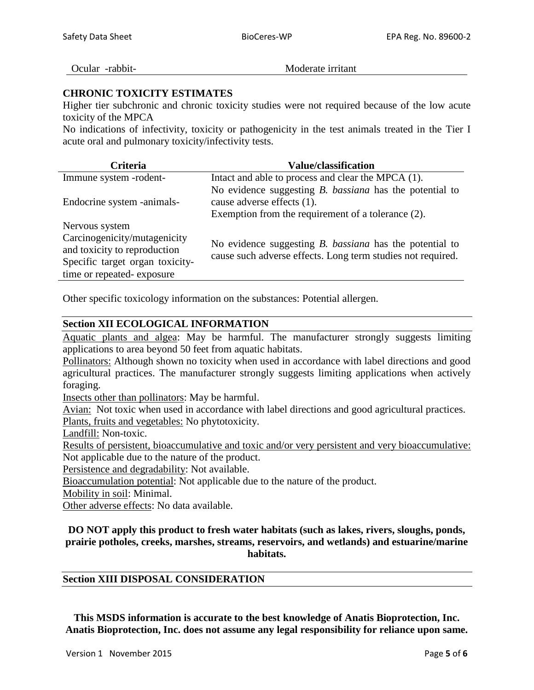Ocular -rabbit-<br>
Moderate irritant

#### **CHRONIC TOXICITY ESTIMATES**

Higher tier subchronic and chronic toxicity studies were not required because of the low acute toxicity of the MPCA

No indications of infectivity, toxicity or pathogenicity in the test animals treated in the Tier I acute oral and pulmonary toxicity/infectivity tests.

| Criteria                                                                                        | <b>Value/classification</b>                                                                                                   |
|-------------------------------------------------------------------------------------------------|-------------------------------------------------------------------------------------------------------------------------------|
| Immune system -rodent-                                                                          | Intact and able to process and clear the MPCA (1).                                                                            |
|                                                                                                 | No evidence suggesting $B$ . <i>bassiana</i> has the potential to                                                             |
| Endocrine system -animals-                                                                      | cause adverse effects (1).                                                                                                    |
|                                                                                                 | Exemption from the requirement of a tolerance $(2)$ .                                                                         |
| Nervous system                                                                                  |                                                                                                                               |
| Carcinogenicity/mutagenicity<br>and toxicity to reproduction<br>Specific target organ toxicity- | No evidence suggesting <i>B. bassiana</i> has the potential to<br>cause such adverse effects. Long term studies not required. |
| time or repeated-exposure                                                                       |                                                                                                                               |

Other specific toxicology information on the substances: Potential allergen.

#### **Section XII ECOLOGICAL INFORMATION**

Aquatic plants and algea: May be harmful. The manufacturer strongly suggests limiting applications to area beyond 50 feet from aquatic habitats.

Pollinators: Although shown no toxicity when used in accordance with label directions and good agricultural practices. The manufacturer strongly suggests limiting applications when actively foraging.

Insects other than pollinators: May be harmful.

Avian: Not toxic when used in accordance with label directions and good agricultural practices. Plants, fruits and vegetables: No phytotoxicity.

Landfill: Non-toxic.

Results of persistent, bioaccumulative and toxic and/or very persistent and very bioaccumulative: Not applicable due to the nature of the product.

Persistence and degradability: Not available.

Bioaccumulation potential: Not applicable due to the nature of the product.

Mobility in soil: Minimal.

Other adverse effects: No data available.

#### **DO NOT apply this product to fresh water habitats (such as lakes, rivers, sloughs, ponds, prairie potholes, creeks, marshes, streams, reservoirs, and wetlands) and estuarine/marine habitats.**

#### **Section XIII DISPOSAL CONSIDERATION**